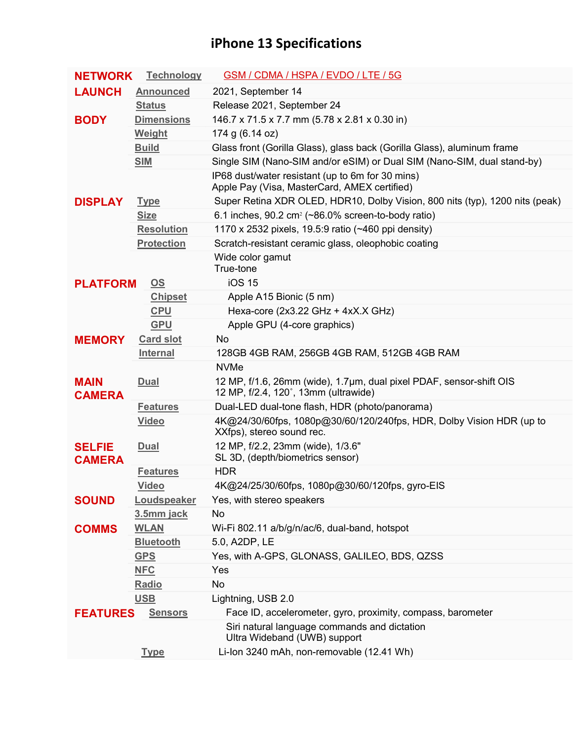## **iPhone 13 Specifications**

| <b>NETWORK</b>                 | <b>Technology</b>         | <b>GSM / CDMA / HSPA / EVDO / LTE / 5G</b>                                                                  |
|--------------------------------|---------------------------|-------------------------------------------------------------------------------------------------------------|
| <b>LAUNCH</b>                  | <b>Announced</b>          | 2021, September 14                                                                                          |
|                                | <b>Status</b>             | Release 2021, September 24                                                                                  |
| <b>BODY</b>                    | <b>Dimensions</b>         | 146.7 x 71.5 x 7.7 mm (5.78 x 2.81 x 0.30 in)                                                               |
|                                | Weight                    | 174 g (6.14 oz)                                                                                             |
|                                | <b>Build</b>              | Glass front (Gorilla Glass), glass back (Gorilla Glass), aluminum frame                                     |
|                                | <b>SIM</b>                | Single SIM (Nano-SIM and/or eSIM) or Dual SIM (Nano-SIM, dual stand-by)                                     |
|                                |                           | IP68 dust/water resistant (up to 6m for 30 mins)<br>Apple Pay (Visa, MasterCard, AMEX certified)            |
| <b>DISPLAY</b>                 | <b>Type</b>               | Super Retina XDR OLED, HDR10, Dolby Vision, 800 nits (typ), 1200 nits (peak)                                |
|                                | <b>Size</b>               | 6.1 inches, 90.2 cm <sup>2</sup> ( $\sim$ 86.0% screen-to-body ratio)                                       |
|                                | <b>Resolution</b>         | 1170 x 2532 pixels, 19.5:9 ratio (~460 ppi density)                                                         |
|                                | <b>Protection</b>         | Scratch-resistant ceramic glass, oleophobic coating                                                         |
|                                |                           | Wide color gamut<br>True-tone                                                                               |
| <b>PLATFORM</b>                | $\underline{\mathsf{OS}}$ | <b>iOS 15</b>                                                                                               |
|                                | <b>Chipset</b>            | Apple A15 Bionic (5 nm)                                                                                     |
|                                | <b>CPU</b>                | Hexa-core (2x3.22 GHz + 4xX.X GHz)                                                                          |
|                                | <b>GPU</b>                | Apple GPU (4-core graphics)                                                                                 |
| <b>MEMORY</b>                  | <b>Card slot</b>          | No                                                                                                          |
|                                | <b>Internal</b>           | 128GB 4GB RAM, 256GB 4GB RAM, 512GB 4GB RAM                                                                 |
|                                |                           | <b>NVMe</b>                                                                                                 |
| <b>MAIN</b><br><b>CAMERA</b>   | <b>Dual</b>               | 12 MP, f/1.6, 26mm (wide), 1.7µm, dual pixel PDAF, sensor-shift OIS<br>12 MP, f/2.4, 120°, 13mm (ultrawide) |
|                                | <b>Features</b>           | Dual-LED dual-tone flash, HDR (photo/panorama)                                                              |
|                                | <b>Video</b>              | 4K@24/30/60fps, 1080p@30/60/120/240fps, HDR, Dolby Vision HDR (up to<br>XXfps), stereo sound rec.           |
| <b>SELFIE</b><br><b>CAMERA</b> | <b>Dual</b>               | 12 MP, f/2.2, 23mm (wide), 1/3.6"<br>SL 3D, (depth/biometrics sensor)                                       |
|                                | <b>Features</b>           | <b>HDR</b>                                                                                                  |
|                                | <b>Video</b>              | 4K@24/25/30/60fps, 1080p@30/60/120fps, gyro-EIS                                                             |
| <b>SOUND</b>                   | Loudspeaker               | Yes, with stereo speakers                                                                                   |
|                                | 3.5mm jack                | No                                                                                                          |
| <b>COMMS</b>                   | <b>WLAN</b>               | Wi-Fi 802.11 a/b/g/n/ac/6, dual-band, hotspot                                                               |
|                                | <b>Bluetooth</b>          | 5.0, A2DP, LE                                                                                               |
|                                | <b>GPS</b>                | Yes, with A-GPS, GLONASS, GALILEO, BDS, QZSS                                                                |
|                                | <b>NFC</b>                | Yes                                                                                                         |
|                                | Radio                     | No                                                                                                          |
|                                | <b>USB</b>                | Lightning, USB 2.0                                                                                          |
| <b>FEATURES</b>                | <b>Sensors</b>            | Face ID, accelerometer, gyro, proximity, compass, barometer                                                 |
|                                |                           | Siri natural language commands and dictation<br>Ultra Wideband (UWB) support                                |
|                                | <b>Type</b>               | Li-Ion 3240 mAh, non-removable (12.41 Wh)                                                                   |